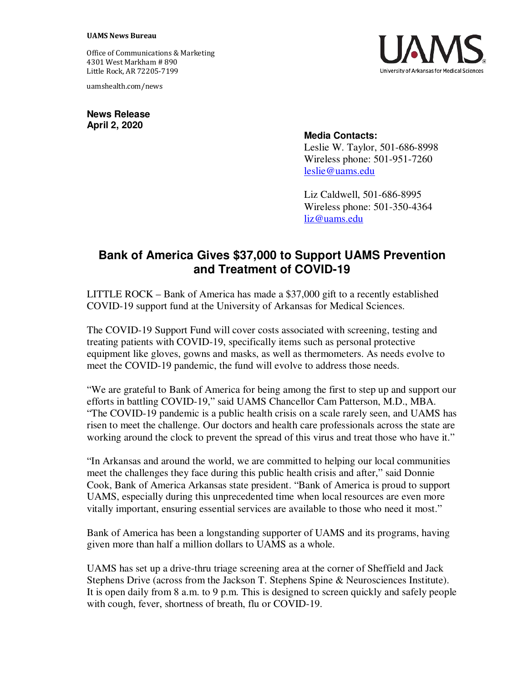## **UAMS News Bureau**

Office of Communications & Marketing 4301 West Markham # 890 Little Rock, AR 72205-7199

uamshealth.com/news

**News Release April 2, 2020**

## **Media Contacts:**

Leslie W. Taylor, 501-686-8998 Wireless phone: 501-951-7260 [leslie@uams.edu](mailto:leslie@uams.edu)

Liz Caldwell, 501-686-8995 Wireless phone: 501-350-4364 [liz@uams.edu](mailto:liz@uams.edu)

## **Bank of America Gives \$37,000 to Support UAMS Prevention and Treatment of COVID-19**

LITTLE ROCK – Bank of America has made a \$37,000 gift to a recently established COVID-19 support fund at the University of Arkansas for Medical Sciences.

The COVID-19 Support Fund will cover costs associated with screening, testing and treating patients with COVID-19, specifically items such as personal protective equipment like gloves, gowns and masks, as well as thermometers. As needs evolve to meet the COVID-19 pandemic, the fund will evolve to address those needs.

"We are grateful to Bank of America for being among the first to step up and support our efforts in battling COVID-19," said UAMS Chancellor Cam Patterson, M.D., MBA. "The COVID-19 pandemic is a public health crisis on a scale rarely seen, and UAMS has risen to meet the challenge. Our doctors and health care professionals across the state are working around the clock to prevent the spread of this virus and treat those who have it."

"In Arkansas and around the world, we are committed to helping our local communities meet the challenges they face during this public health crisis and after," said Donnie Cook, Bank of America Arkansas state president. "Bank of America is proud to support UAMS, especially during this unprecedented time when local resources are even more vitally important, ensuring essential services are available to those who need it most."

Bank of America has been a longstanding supporter of UAMS and its programs, having given more than half a million dollars to UAMS as a whole.

UAMS has set up a drive-thru triage screening area at the corner of Sheffield and Jack Stephens Drive (across from the Jackson T. Stephens Spine & Neurosciences Institute). It is open daily from 8 a.m. to 9 p.m. This is designed to screen quickly and safely people with cough, fever, shortness of breath, flu or COVID-19.